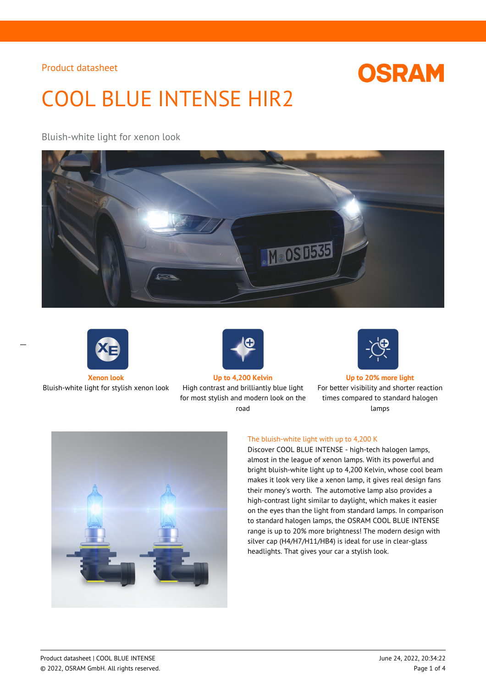# **OSRAM**

# COOL BLUE INTENSE HIR2

### Bluish-white light for xenon look





 $\overline{a}$ 



Bluish-white light for stylish xenon look High contrast and brilliantly blue light for most stylish and modern look on the road



#### **Xenon look Up to 4,200 Kelvin Up to 20% more light**

For better visibility and shorter reaction times compared to standard halogen lamps



#### The bluish-white light with up to 4,200 K

Discover COOL BLUE INTENSE - high-tech halogen lamps, almost in the league of xenon lamps. With its powerful and bright bluish-white light up to 4,200 Kelvin, whose cool beam makes it look very like a xenon lamp, it gives real design fans their money's worth. The automotive lamp also provides a high-contrast light similar to daylight, which makes it easier on the eyes than the light from standard lamps. In comparison to standard halogen lamps, the OSRAM COOL BLUE INTENSE range is up to 20% more brightness! The modern design with silver cap (H4/H7/H11/HB4) is ideal for use in clear-glass headlights. That gives your car a stylish look.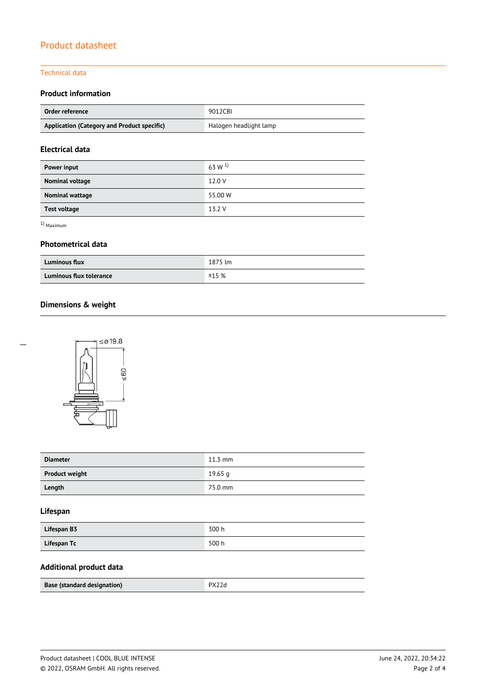#### Technical data

#### **Product information**

| Order reference                             | 9012CBI                |
|---------------------------------------------|------------------------|
| Application (Category and Product specific) | Halogen headlight lamp |

#### **Electrical data**

| Power input         | $63 \text{ W}$ <sup>1)</sup> |
|---------------------|------------------------------|
| Nominal voltage     | 12.0 V                       |
| Nominal wattage     | 55.00 W                      |
| <b>Test voltage</b> | 13.2 V                       |

1) Maximum

 $\overline{a}$ 

#### **Photometrical data**

| <b>Luminous flux</b>    | 1875 lm |
|-------------------------|---------|
| Luminous flux tolerance | ±15%    |

#### **Dimensions & weight**



| <b>Diameter</b>       | $11.3 \text{ mm}$ |
|-----------------------|-------------------|
| <b>Product weight</b> | 19.65 g           |
| Length                | 75.0 mm           |

#### **Lifespan**

| Lifespan B3 | 300 h |
|-------------|-------|
| Lifespan Tc | 500h  |

#### **Additional product data**

| Base (standard designation) | D x |
|-----------------------------|-----|
|-----------------------------|-----|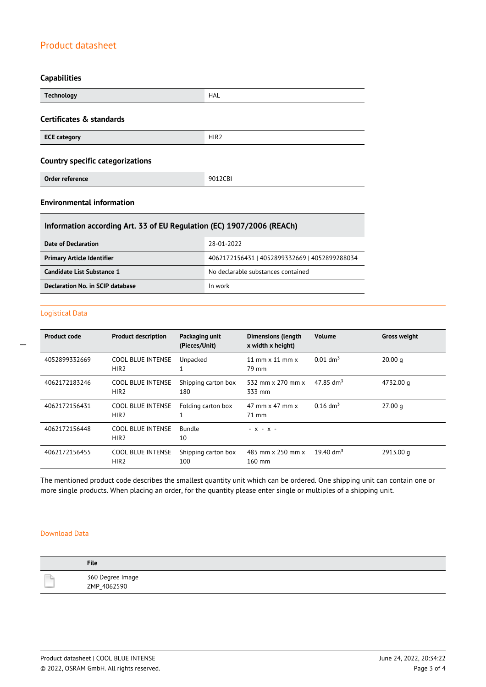#### **Capabilities**

| <b>Technology</b>                       | <b>HAL</b>       |  |
|-----------------------------------------|------------------|--|
| Certificates & standards                |                  |  |
| <b>ECE category</b>                     | HIR <sub>2</sub> |  |
| <b>Country specific categorizations</b> |                  |  |
| Order reference                         | 9012CBI          |  |

### **Environmental information**

#### **Information according Art. 33 of EU Regulation (EC) 1907/2006 (REACh)**

| Date of Declaration               | 28-01-2022                                    |  |
|-----------------------------------|-----------------------------------------------|--|
| <b>Primary Article Identifier</b> | 4062172156431   4052899332669   4052899288034 |  |
| Candidate List Substance 1        | No declarable substances contained            |  |
| Declaration No. in SCIP database  | In work                                       |  |

#### Logistical Data

 $\overline{a}$ 

| <b>Product code</b> | <b>Product description</b>                   | Packaging unit<br>(Pieces/Unit) | <b>Dimensions (length</b><br>x width x height) | <b>Volume</b>           | <b>Gross weight</b> |
|---------------------|----------------------------------------------|---------------------------------|------------------------------------------------|-------------------------|---------------------|
| 4052899332669       | <b>COOL BLUE INTENSE</b><br>HIR <sub>2</sub> | Unpacked                        | 11 mm $\times$ 11 mm $\times$<br>79 mm         | $0.01$ dm <sup>3</sup>  | 20.00 q             |
| 4062172183246       | <b>COOL BLUE INTENSE</b><br>HIR <sub>2</sub> | Shipping carton box<br>180      | 532 mm x 270 mm x<br>333 mm                    | $47.85$ dm <sup>3</sup> | 4732.00 g           |
| 4062172156431       | <b>COOL BLUE INTENSE</b><br>HIR <sub>2</sub> | Folding carton box              | $47$ mm x $47$ mm x<br>71 mm                   | $0.16$ dm <sup>3</sup>  | 27.00 g             |
| 4062172156448       | <b>COOL BLUE INTENSE</b><br>HIR <sub>2</sub> | <b>Bundle</b><br>10             | $- X - X -$                                    |                         |                     |
| 4062172156455       | <b>COOL BLUE INTENSE</b><br>HIR <sub>2</sub> | Shipping carton box<br>100      | 485 mm x 250 mm x<br>$160$ mm                  | 19.40 $\rm{dm^3}$       | 2913.00 g           |

The mentioned product code describes the smallest quantity unit which can be ordered. One shipping unit can contain one or more single products. When placing an order, for the quantity please enter single or multiples of a shipping unit.

#### Download Data

| <b>File</b>                     |
|---------------------------------|
| 360 Degree Image<br>ZMP 4062590 |